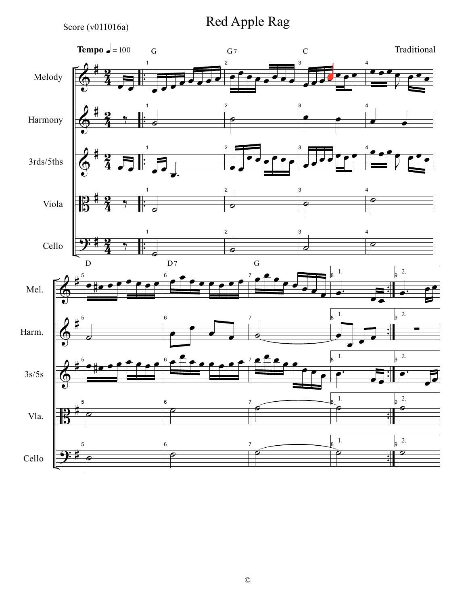Score ( $v011016a$ )

Red Apple Rag